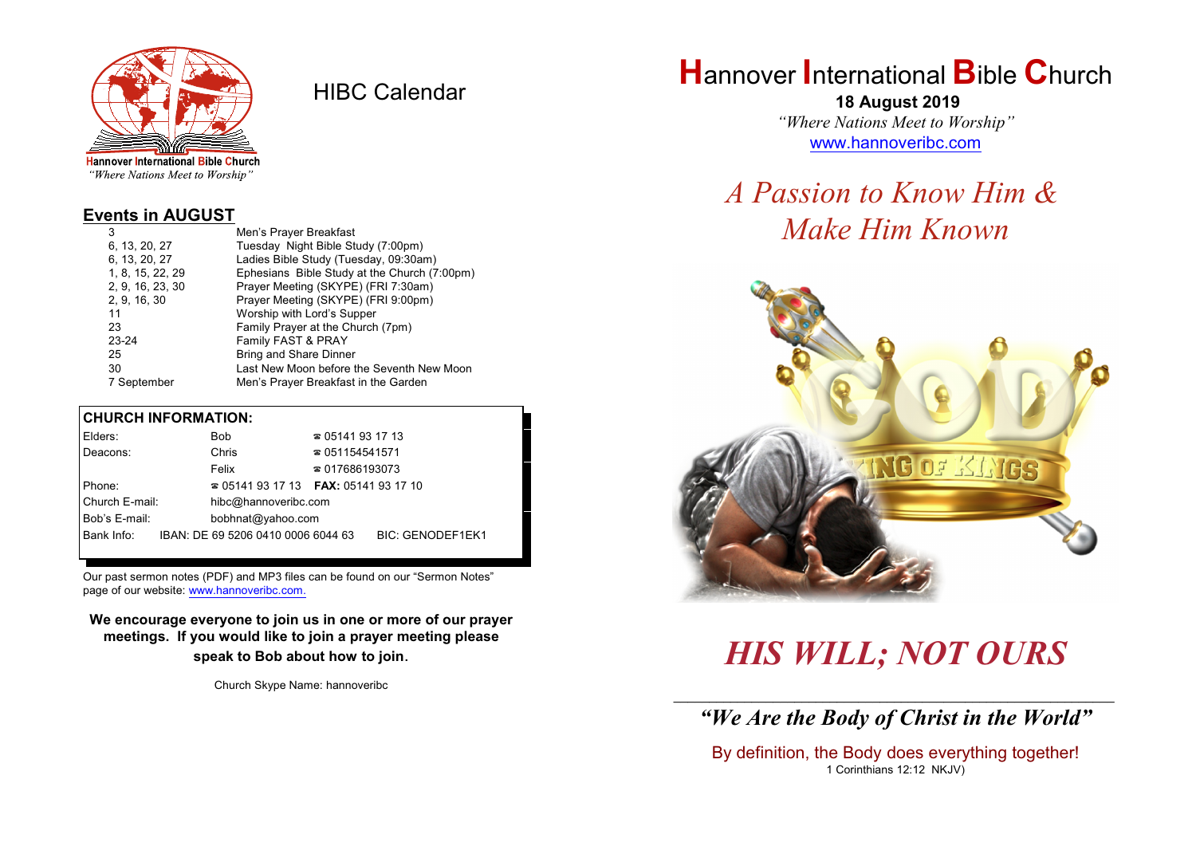

HIBC Calendar

"Where Nations Meet to Worship"

#### **Events in AUGUST**

| 3                | Men's Prayer Breakfast                       |
|------------------|----------------------------------------------|
| 6, 13, 20, 27    | Tuesday Night Bible Study (7:00pm)           |
| 6, 13, 20, 27    | Ladies Bible Study (Tuesday, 09:30am)        |
| 1, 8, 15, 22, 29 | Ephesians Bible Study at the Church (7:00pm) |
| 2, 9, 16, 23, 30 | Prayer Meeting (SKYPE) (FRI 7:30am)          |
| 2, 9, 16, 30     | Prayer Meeting (SKYPE) (FRI 9:00pm)          |
| 11               | Worship with Lord's Supper                   |
| 23               | Family Prayer at the Church (7pm)            |
| 23-24            | Family FAST & PRAY                           |
| 25               | Bring and Share Dinner                       |
| 30               | Last New Moon before the Seventh New Moon    |
| 7 September      | Men's Prayer Breakfast in the Garden         |

#### **CHURCH INFORMATION:**

| Elders:        | Bob                                      | $\approx 05141931713$  |                         |
|----------------|------------------------------------------|------------------------|-------------------------|
| Deacons:       | Chris                                    | $\approx 051154541571$ |                         |
|                | Felix                                    | $\approx 017686193073$ |                         |
| Phone:         | $\approx 05141931713$ FAX: 0514193 17 10 |                        |                         |
| Church E-mail: | hibc@hannoveribc.com                     |                        |                         |
| Bob's E-mail:  | bobhnat@yahoo.com                        |                        |                         |
| Bank Info:     | IBAN: DE 69 5206 0410 0006 6044 63       |                        | <b>BIC: GENODEF1EK1</b> |
|                |                                          |                        |                         |

Our past sermon notes (PDF) and MP3 files can be found on our "Sermon Notes" page of our website: [www.hannoveribc.com.](http://www.hannoveribc.com.)

**We encourage everyone to join us in one or more of our prayer meetings. If you would like to join a prayer meeting please speak to Bob about how to join**.

Church Skype Name: hannoveribc

### **H**annover **I**nternational **B**ible **C**hurch

 **18 August 2019** *"Where Nations Meet to Worship"* [www.hannoveribc.com](http://www.hannoveribc.com)

## *A Passion to Know Him & Make Him Known*



# *HIS WILL; NOT OURS*

\_\_\_\_\_\_\_\_\_\_\_\_\_\_\_\_\_\_\_\_\_\_\_\_\_\_\_\_\_\_\_\_\_\_\_\_\_\_\_\_\_\_\_\_\_\_\_\_\_\_\_\_\_\_\_\_\_\_\_\_\_\_ *"We Are the Body of Christ in the World"*

By definition, the Body does everything together! 1 Corinthians 12:12 NKJV)